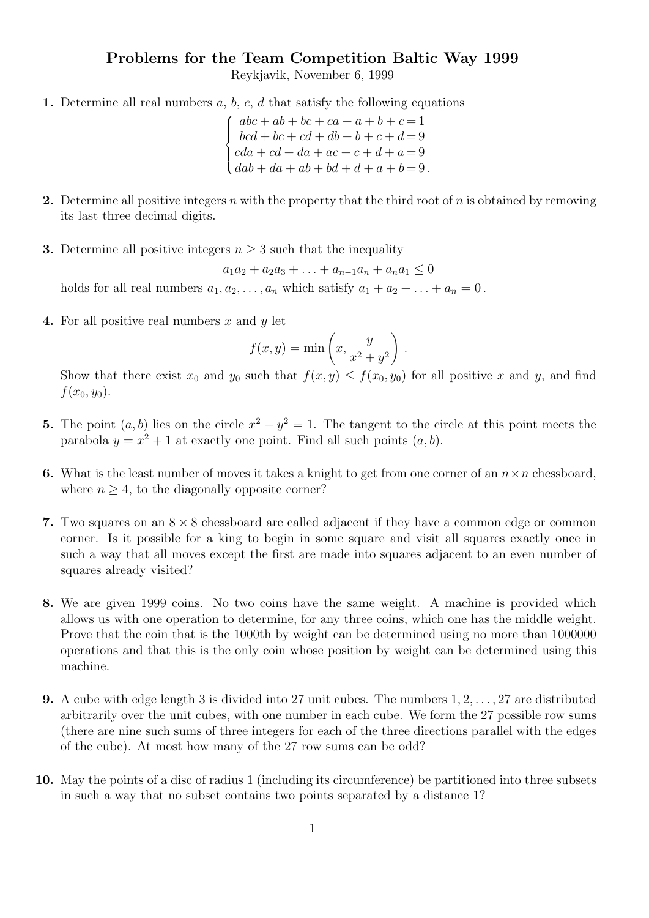## Problems for the Team Competition Baltic Way 1999

Reykjavik, November 6, 1999

1. Determine all real numbers  $a, b, c, d$  that satisfy the following equations

 $\sqrt{ }$  $\int$  $\overline{\mathcal{L}}$  $abc + ab + bc + ca + a + b + c = 1$  $bcd + bc + cd + db + b + c + d = 9$  $cda + cd + da + ac + c + d + a = 9$  $dab + da + ab + bd + d + a + b = 9$ .

- 2. Determine all positive integers n with the property that the third root of n is obtained by removing its last three decimal digits.
- **3.** Determine all positive integers  $n \geq 3$  such that the inequality

$$
a_1a_2 + a_2a_3 + \ldots + a_{n-1}a_n + a_na_1 \le 0
$$

holds for all real numbers  $a_1, a_2, \ldots, a_n$  which satisfy  $a_1 + a_2 + \ldots + a_n = 0$ .

4. For all positive real numbers x and  $y$  let

$$
f(x,y) = \min\left(x, \frac{y}{x^2 + y^2}\right).
$$

Show that there exist  $x_0$  and  $y_0$  such that  $f(x, y) \leq f(x_0, y_0)$  for all positive x and y, and find  $f(x_0, y_0)$ .

- **5.** The point  $(a, b)$  lies on the circle  $x^2 + y^2 = 1$ . The tangent to the circle at this point meets the parabola  $y = x^2 + 1$  at exactly one point. Find all such points  $(a, b)$ .
- 6. What is the least number of moves it takes a knight to get from one corner of an  $n \times n$  chessboard, where  $n \geq 4$ , to the diagonally opposite corner?
- 7. Two squares on an  $8 \times 8$  chessboard are called adjacent if they have a common edge or common corner. Is it possible for a king to begin in some square and visit all squares exactly once in such a way that all moves except the first are made into squares adjacent to an even number of squares already visited?
- 8. We are given 1999 coins. No two coins have the same weight. A machine is provided which allows us with one operation to determine, for any three coins, which one has the middle weight. Prove that the coin that is the 1000th by weight can be determined using no more than 1000000 operations and that this is the only coin whose position by weight can be determined using this machine.
- **9.** A cube with edge length 3 is divided into 27 unit cubes. The numbers  $1, 2, \ldots, 27$  are distributed arbitrarily over the unit cubes, with one number in each cube. We form the 27 possible row sums (there are nine such sums of three integers for each of the three directions parallel with the edges of the cube). At most how many of the 27 row sums can be odd?
- 10. May the points of a disc of radius 1 (including its circumference) be partitioned into three subsets in such a way that no subset contains two points separated by a distance 1?